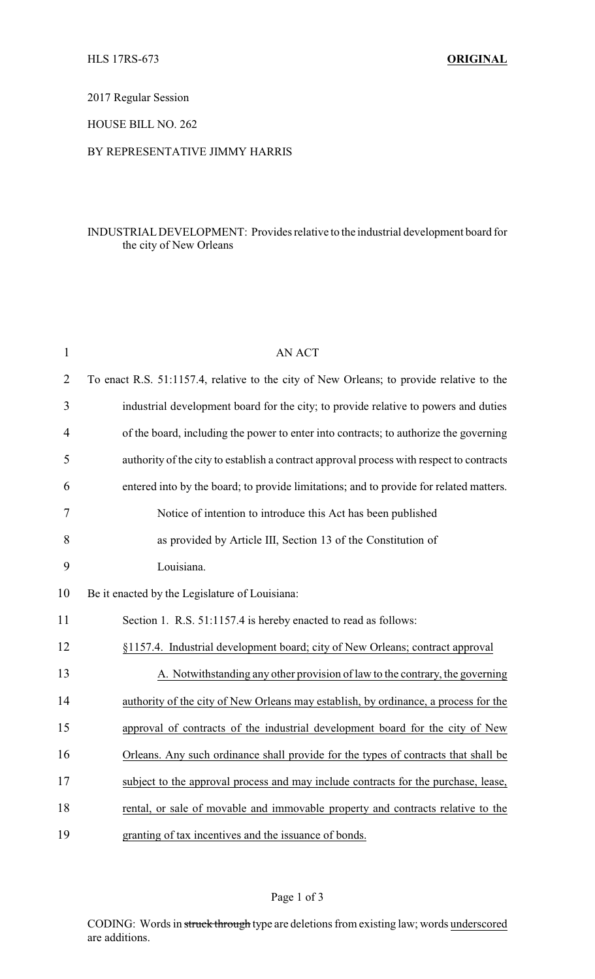# 2017 Regular Session

# HOUSE BILL NO. 262

#### BY REPRESENTATIVE JIMMY HARRIS

# INDUSTRIALDEVELOPMENT: Provides relative to the industrial development board for the city of New Orleans

| $\mathbf{1}$   | <b>AN ACT</b>                                                                            |
|----------------|------------------------------------------------------------------------------------------|
| $\overline{2}$ | To enact R.S. 51:1157.4, relative to the city of New Orleans; to provide relative to the |
| 3              | industrial development board for the city; to provide relative to powers and duties      |
| 4              | of the board, including the power to enter into contracts; to authorize the governing    |
| 5              | authority of the city to establish a contract approval process with respect to contracts |
| 6              | entered into by the board; to provide limitations; and to provide for related matters.   |
| 7              | Notice of intention to introduce this Act has been published                             |
| 8              | as provided by Article III, Section 13 of the Constitution of                            |
| 9              | Louisiana.                                                                               |
| 10             | Be it enacted by the Legislature of Louisiana:                                           |
| 11             | Section 1. R.S. 51:1157.4 is hereby enacted to read as follows:                          |
| 12             | §1157.4. Industrial development board; city of New Orleans; contract approval            |
| 13             | A. Notwithstanding any other provision of law to the contrary, the governing             |
| 14             | authority of the city of New Orleans may establish, by ordinance, a process for the      |
| 15             | approval of contracts of the industrial development board for the city of New            |
| 16             | Orleans. Any such ordinance shall provide for the types of contracts that shall be       |
| 17             | subject to the approval process and may include contracts for the purchase, lease,       |
| 18             | rental, or sale of movable and immovable property and contracts relative to the          |
| 19             | granting of tax incentives and the issuance of bonds.                                    |

# Page 1 of 3

CODING: Words in struck through type are deletions from existing law; words underscored are additions.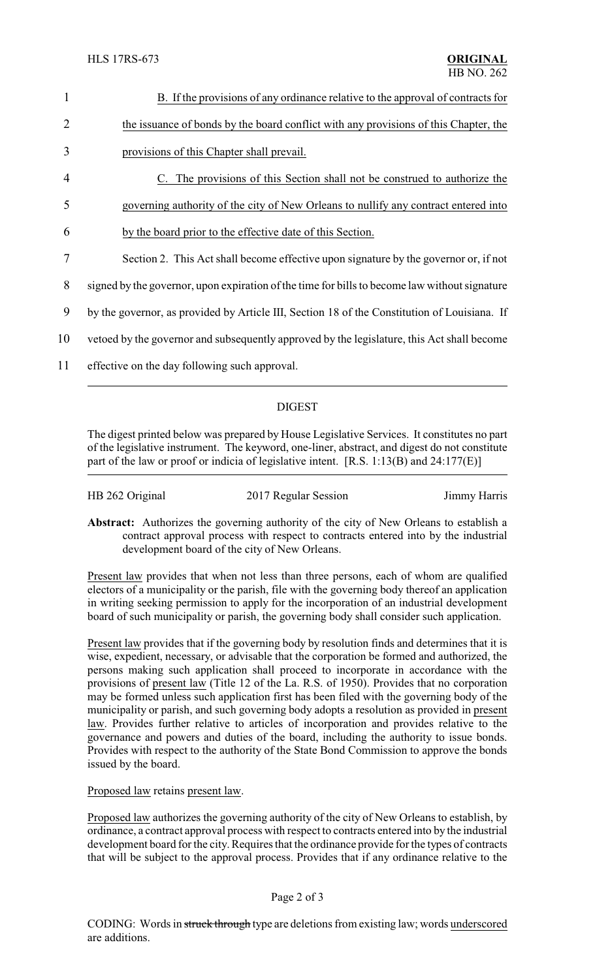| 1  | B. If the provisions of any ordinance relative to the approval of contracts for               |  |
|----|-----------------------------------------------------------------------------------------------|--|
| 2  | the issuance of bonds by the board conflict with any provisions of this Chapter, the          |  |
| 3  | provisions of this Chapter shall prevail.                                                     |  |
| 4  | The provisions of this Section shall not be construed to authorize the                        |  |
| 5  | governing authority of the city of New Orleans to nullify any contract entered into           |  |
| 6  | by the board prior to the effective date of this Section.                                     |  |
| 7  | Section 2. This Act shall become effective upon signature by the governor or, if not          |  |
| 8  | signed by the governor, upon expiration of the time for bills to become law without signature |  |
| 9  | by the governor, as provided by Article III, Section 18 of the Constitution of Louisiana. If  |  |
| 10 | vertoed by the governor and subsequently approved by the legislature, this Act shall become   |  |
| 11 | effective on the day following such approval.                                                 |  |
|    |                                                                                               |  |

#### DIGEST

The digest printed below was prepared by House Legislative Services. It constitutes no part of the legislative instrument. The keyword, one-liner, abstract, and digest do not constitute part of the law or proof or indicia of legislative intent. [R.S. 1:13(B) and 24:177(E)]

| HB 262 Original | 2017 Regular Session | Jimmy Harris |
|-----------------|----------------------|--------------|
|                 |                      |              |

**Abstract:** Authorizes the governing authority of the city of New Orleans to establish a contract approval process with respect to contracts entered into by the industrial development board of the city of New Orleans.

Present law provides that when not less than three persons, each of whom are qualified electors of a municipality or the parish, file with the governing body thereof an application in writing seeking permission to apply for the incorporation of an industrial development board of such municipality or parish, the governing body shall consider such application.

Present law provides that if the governing body by resolution finds and determines that it is wise, expedient, necessary, or advisable that the corporation be formed and authorized, the persons making such application shall proceed to incorporate in accordance with the provisions of present law (Title 12 of the La. R.S. of 1950). Provides that no corporation may be formed unless such application first has been filed with the governing body of the municipality or parish, and such governing body adopts a resolution as provided in present law. Provides further relative to articles of incorporation and provides relative to the governance and powers and duties of the board, including the authority to issue bonds. Provides with respect to the authority of the State Bond Commission to approve the bonds issued by the board.

Proposed law retains present law.

Proposed law authorizes the governing authority of the city of New Orleans to establish, by ordinance, a contract approval process with respect to contracts entered into by the industrial development board for the city. Requires that the ordinance provide for the types of contracts that will be subject to the approval process. Provides that if any ordinance relative to the